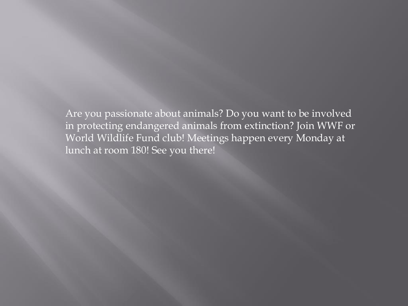Are you passionate about animals? Do you want to be involved in protecting endangered animals from extinction? Join WWF or World Wildlife Fund club! Meetings happen every Monday at lunch at room 180! See you there!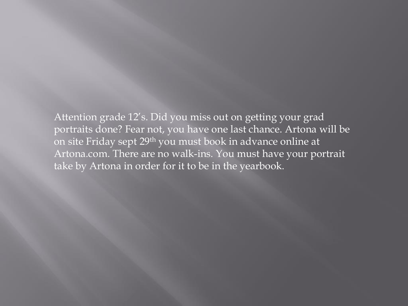Attention grade 12's. Did you miss out on getting your grad portraits done? Fear not, you have one last chance. Artona will be on site Friday sept 29th you must book in advance online at Artona.com. There are no walk-ins. You must have your portrait take by Artona in order for it to be in the yearbook.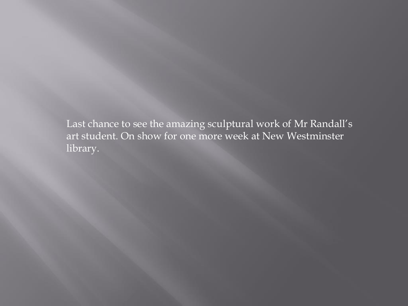Last chance to see the amazing sculptural work of Mr Randall's art student. On show for one more week at New Westminster library.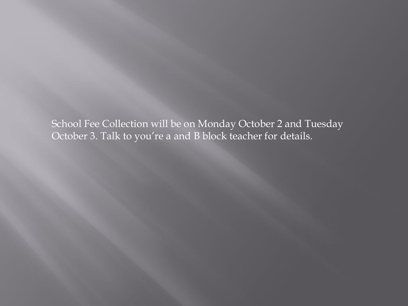School Fee Collection will be on Monday October 2 and Tuesday October 3. Talk to you're a and B block teacher for details.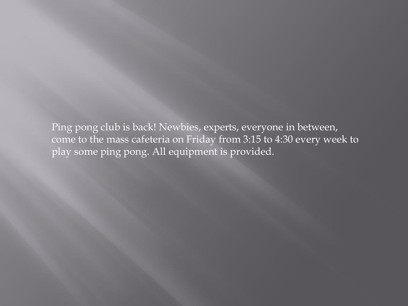Ping pong club is back! Newbies, experts, everyone in between, come to the mass cafeteria on Friday from 3:15 to 4:30 every week to play some ping pong. All equipment is provided.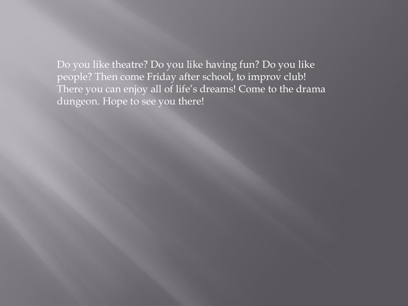Do you like theatre? Do you like having fun? Do you like people? Then come Friday after school, to improv club! There you can enjoy all of life's dreams! Come to the drama dungeon. Hope to see you there!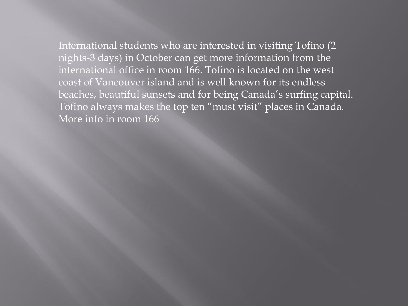International students who are interested in visiting Tofino (2 nights-3 days) in October can get more information from the international office in room 166. Tofino is located on the west coast of Vancouver island and is well known for its endless beaches, beautiful sunsets and for being Canada's surfing capital. Tofino always makes the top ten "must visit" places in Canada. More info in room 166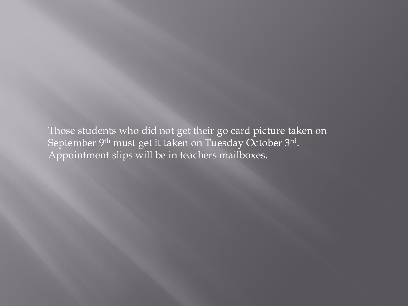Those students who did not get their go card picture taken on September 9<sup>th</sup> must get it taken on Tuesday October 3rd. Appointment slips will be in teachers mailboxes.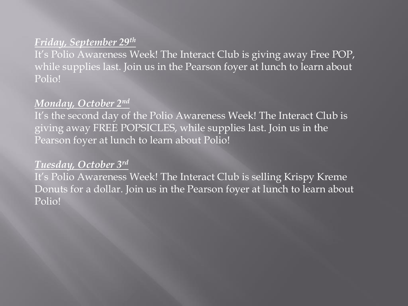## *Friday, September 29th*

It's Polio Awareness Week! The Interact Club is giving away Free POP, while supplies last. Join us in the Pearson foyer at lunch to learn about Polio!

## *Monday, October 2nd*

It's the second day of the Polio Awareness Week! The Interact Club is giving away FREE POPSICLES, while supplies last. Join us in the Pearson foyer at lunch to learn about Polio!

## *Tuesday, October 3rd*

It's Polio Awareness Week! The Interact Club is selling Krispy Kreme Donuts for a dollar. Join us in the Pearson foyer at lunch to learn about Polio!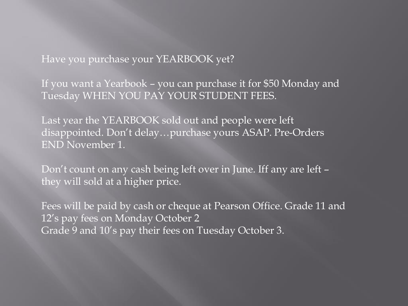Have you purchase your YEARBOOK yet?

If you want a Yearbook – you can purchase it for \$50 Monday and Tuesday WHEN YOU PAY YOUR STUDENT FEES.

Last year the YEARBOOK sold out and people were left disappointed. Don't delay…purchase yours ASAP. Pre-Orders END November 1.

Don't count on any cash being left over in June. Iff any are left – they will sold at a higher price.

Fees will be paid by cash or cheque at Pearson Office. Grade 11 and 12's pay fees on Monday October 2 Grade 9 and 10's pay their fees on Tuesday October 3.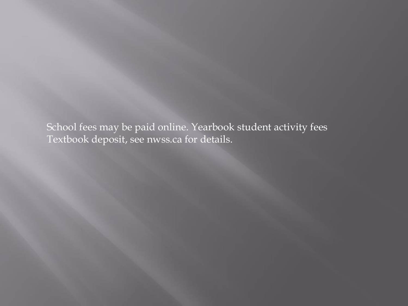School fees may be paid online. Yearbook student activity fees Textbook deposit, see nwss.ca for details.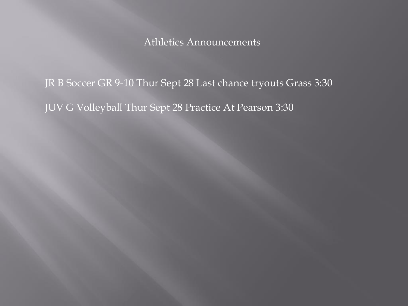Athletics Announcements

JR B Soccer GR 9-10 Thur Sept 28 Last chance tryouts Grass 3:30 JUV G Volleyball Thur Sept 28 Practice At Pearson 3:30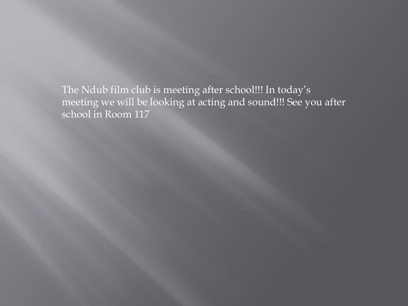The Ndub film club is meeting after school!!! In today's meeting we will be looking at acting and sound!!! See you after school in Room 117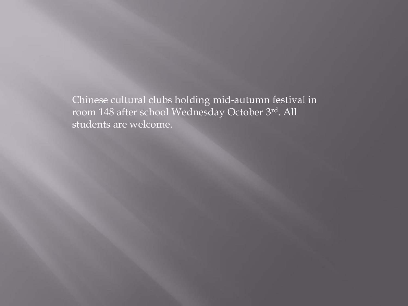Chinese cultural clubs holding mid-autumn festival in room 148 after school Wednesday October 3rd. All students are welcome.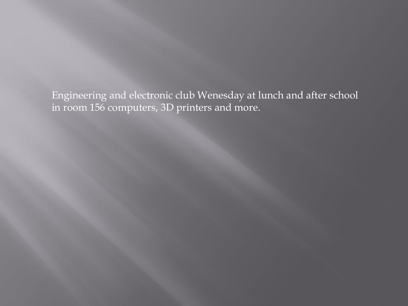Engineering and electronic club Wenesday at lunch and after school in room 156 computers, 3D printers and more.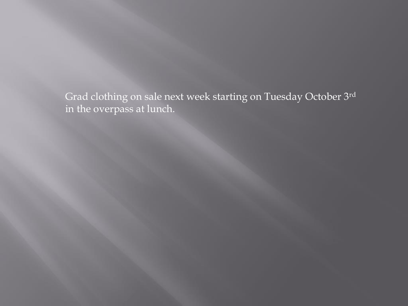Grad clothing on sale next week starting on Tuesday October 3rd in the overpass at lunch.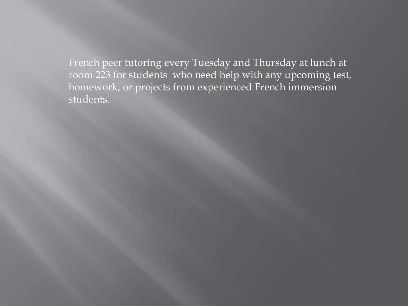French peer tutoring every Tuesday and Thursday at lunch at room 223 for students who need help with any upcoming test, homework, or projects from experienced French immersion students.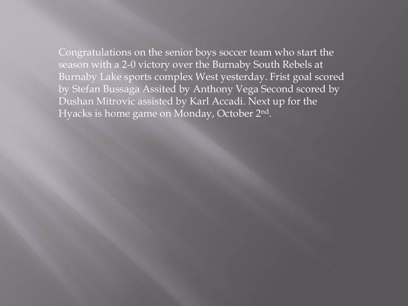Congratulations on the senior boys soccer team who start the season with a 2-0 victory over the Burnaby South Rebels at Burnaby Lake sports complex West yesterday. Frist goal scored by Stefan Bussaga Assited by Anthony Vega Second scored by Dushan Mitrovic assisted by Karl Accadi. Next up for the Hyacks is home game on Monday, October 2nd.